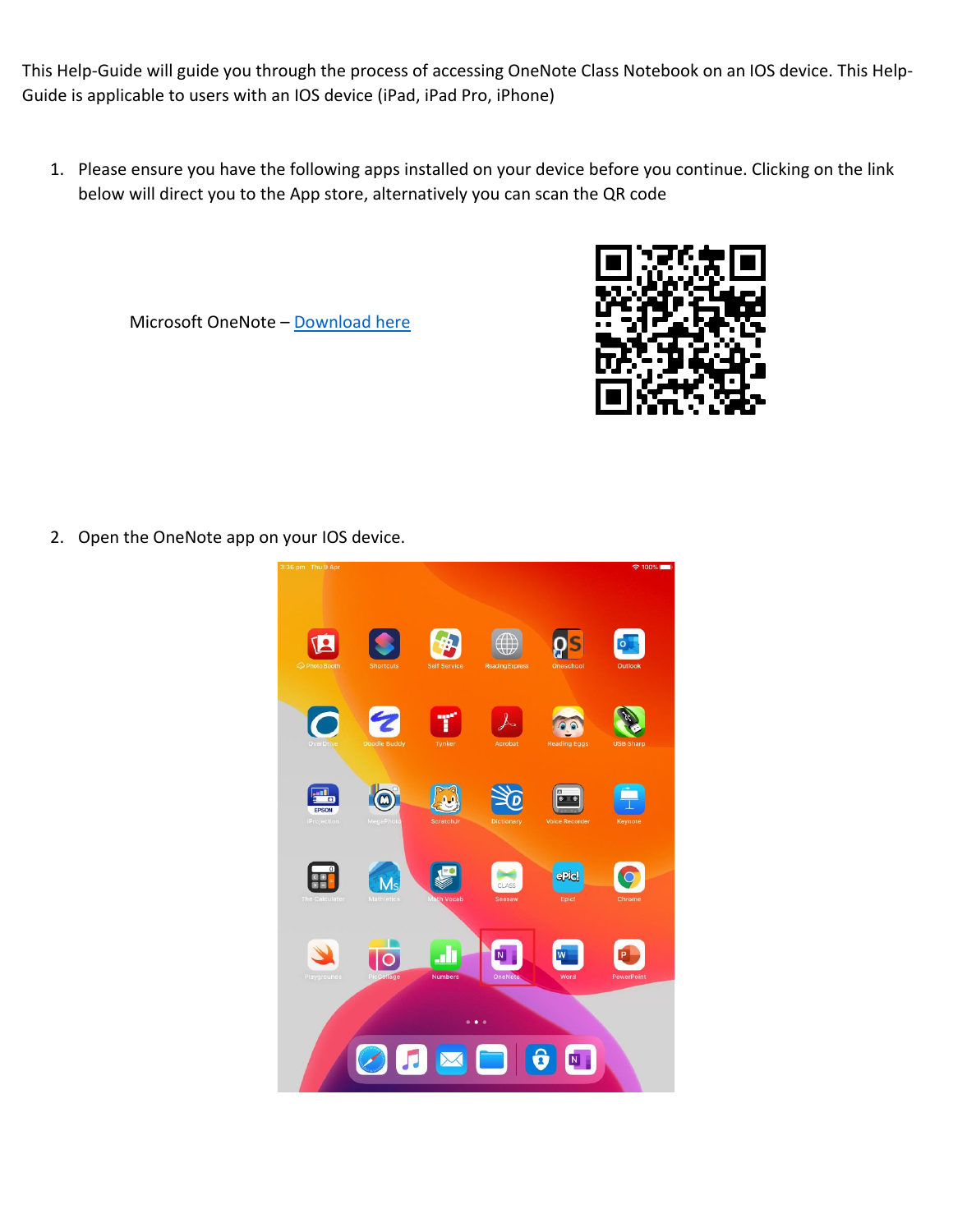This Help-Guide will guide you through the process of accessing OneNote Class Notebook on an IOS device. This Help-Guide is applicable to users with an IOS device (iPad, iPad Pro, iPhone)

1. Please ensure you have the following apps installed on your device before you continue. Clicking on the link below will direct you to the App store, alternatively you can scan the QR code





2. Open the OneNote app on your IOS device.

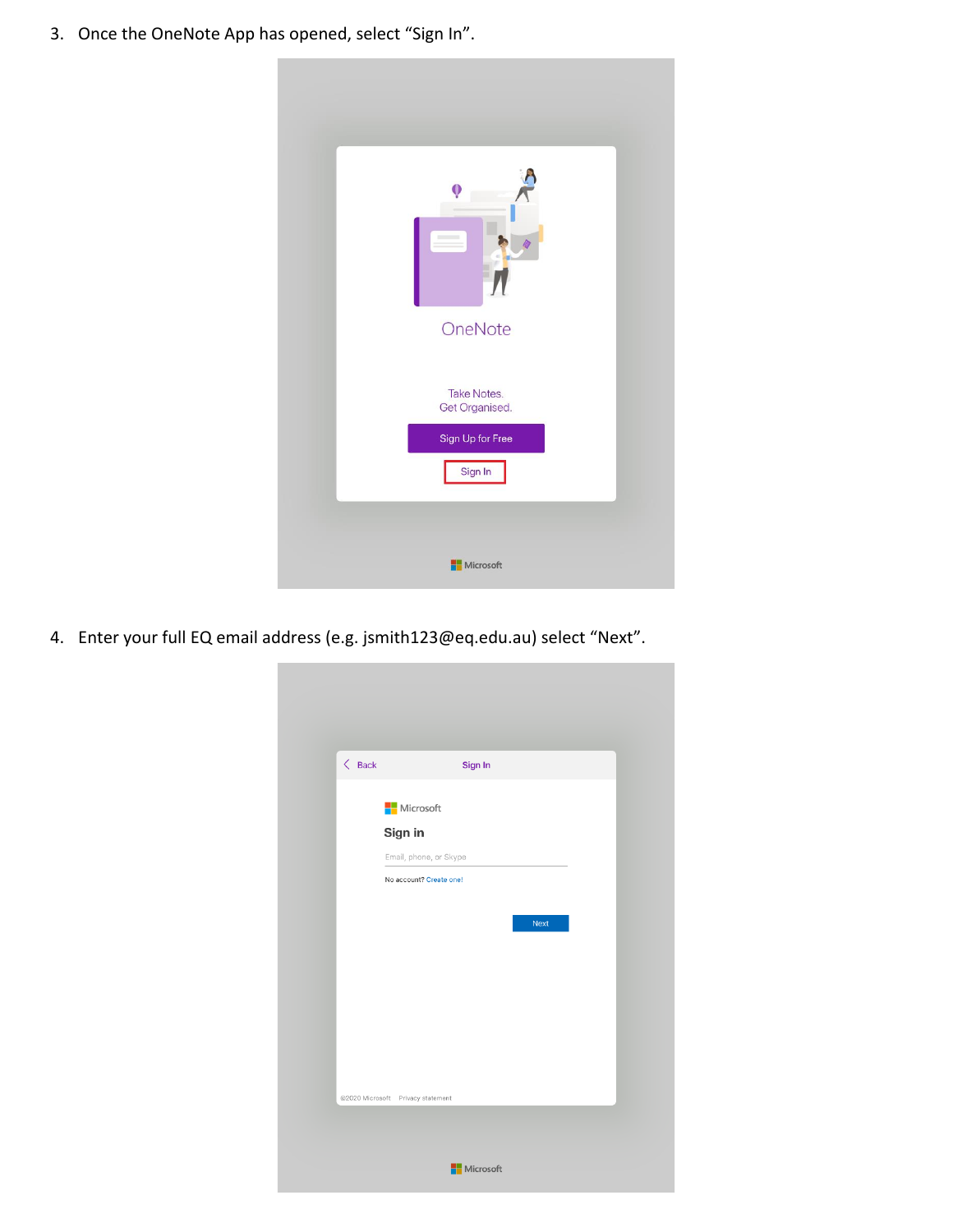3. Once the OneNote App has opened, select "Sign In".



4. Enter your full EQ email address (e.g. [jsmith123@eq.edu.au\)](mailto:jsmith123@eq.edu.au) select "Next".

| $\langle$ Back | Sign In                           |  |
|----------------|-----------------------------------|--|
|                | Microsoft                         |  |
|                | Sign in                           |  |
|                | Email, phone, or Skype            |  |
|                | No account? Create one!           |  |
|                | Next                              |  |
|                | @2020 Microsoft Privacy statement |  |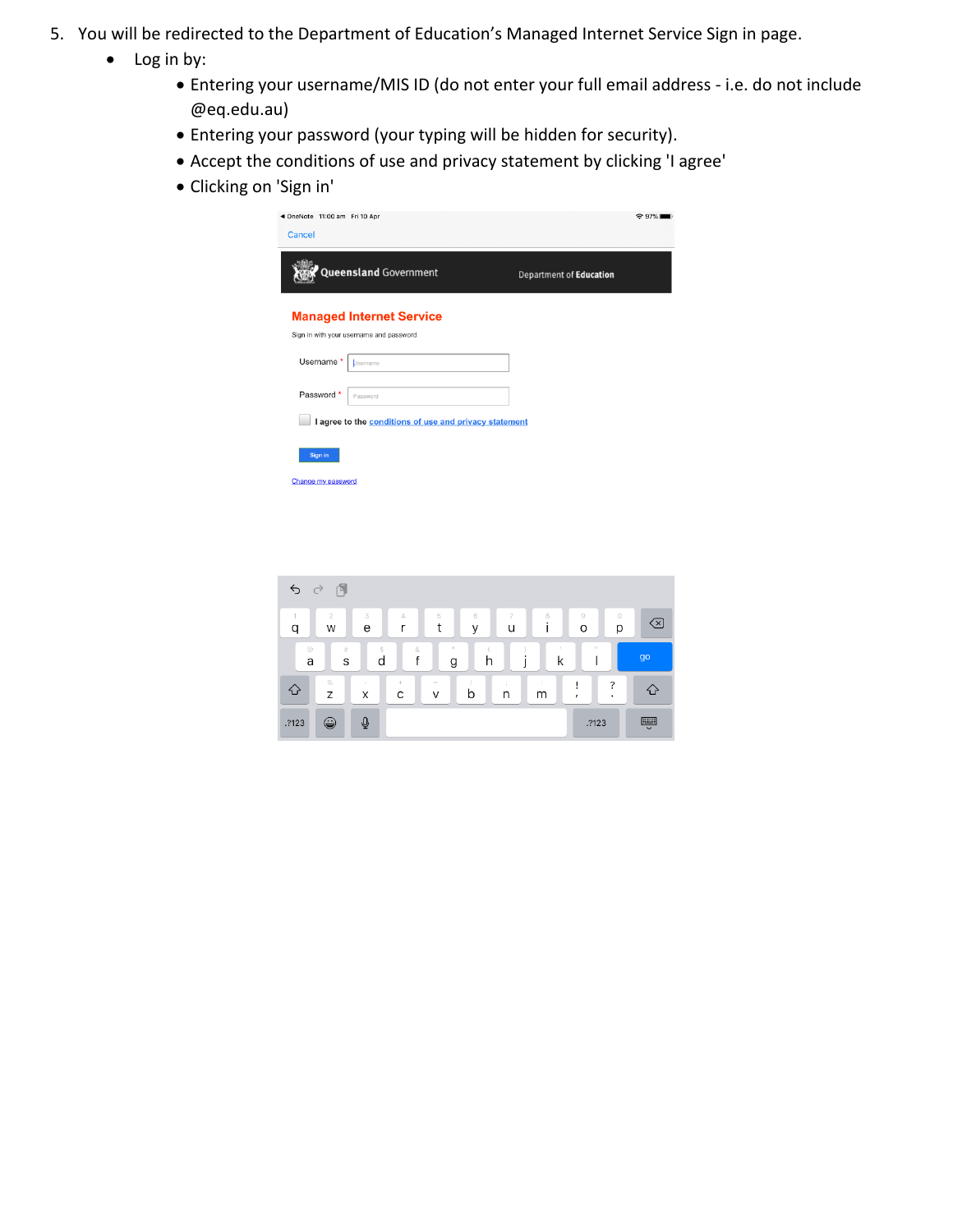- 5. You will be redirected to the Department of Education's Managed Internet Service Sign in page.
	- Log in by:
		- Entering your username/MIS ID (do not enter your full email address i.e. do not include @eq.edu.au)
		- Entering your password (your typing will be hidden for security).
		- Accept the conditions of use and privacy statement by clicking 'I agree'
		- Clicking on 'Sign in'

| ◀ OneNote 11:00 am Fri 10 Apr<br>Cancel |                                                                            |                                | $\approx$ 97% |
|-----------------------------------------|----------------------------------------------------------------------------|--------------------------------|---------------|
|                                         | <b>Queensland Government</b>                                               | <b>Department of Education</b> |               |
|                                         | <b>Managed Internet Service</b><br>Sign in with your username and password |                                |               |
| Username*                               | Usemame                                                                    |                                |               |
| Password *                              | Password                                                                   |                                |               |
|                                         | I agree to the conditions of use and privacy statement                     |                                |               |
| Sign in<br>Change my password           |                                                                            |                                |               |
|                                         |                                                                            |                                |               |

| 卪<br>$\varphi$ $\varphi$ |                     |             |               |                    |                           |   |                           |                             |               |  |
|--------------------------|---------------------|-------------|---------------|--------------------|---------------------------|---|---------------------------|-----------------------------|---------------|--|
| q                        | $\overline{2}$<br>W | 3<br>e      | $\Delta$<br>r | 5<br>t             | $6\phantom{.}6$<br>$\vee$ | u | 8                         | $\rm{g}$<br>$\circ$         | 0<br>(x)<br>p |  |
| $\circledcirc$<br>a      | $\#$<br>S           | Ŝ<br>d      | 8<br>f        | $\mathcal{H}$<br>g | h                         |   | $\boldsymbol{\beta}$<br>k | $\mathcal{F} \mathcal{F}$   | go            |  |
| ♦                        | $\%$<br>Z           | $\sim$<br>X | ÷<br>C        | $\equiv$<br>V      | b                         | n | m                         | ?<br>Ţ<br>$\mathbf{r}$<br>٠ | $\sim$        |  |
| .?123                    | ٣                   | $\Phi$      |               |                    |                           |   |                           | .?123                       | Ş             |  |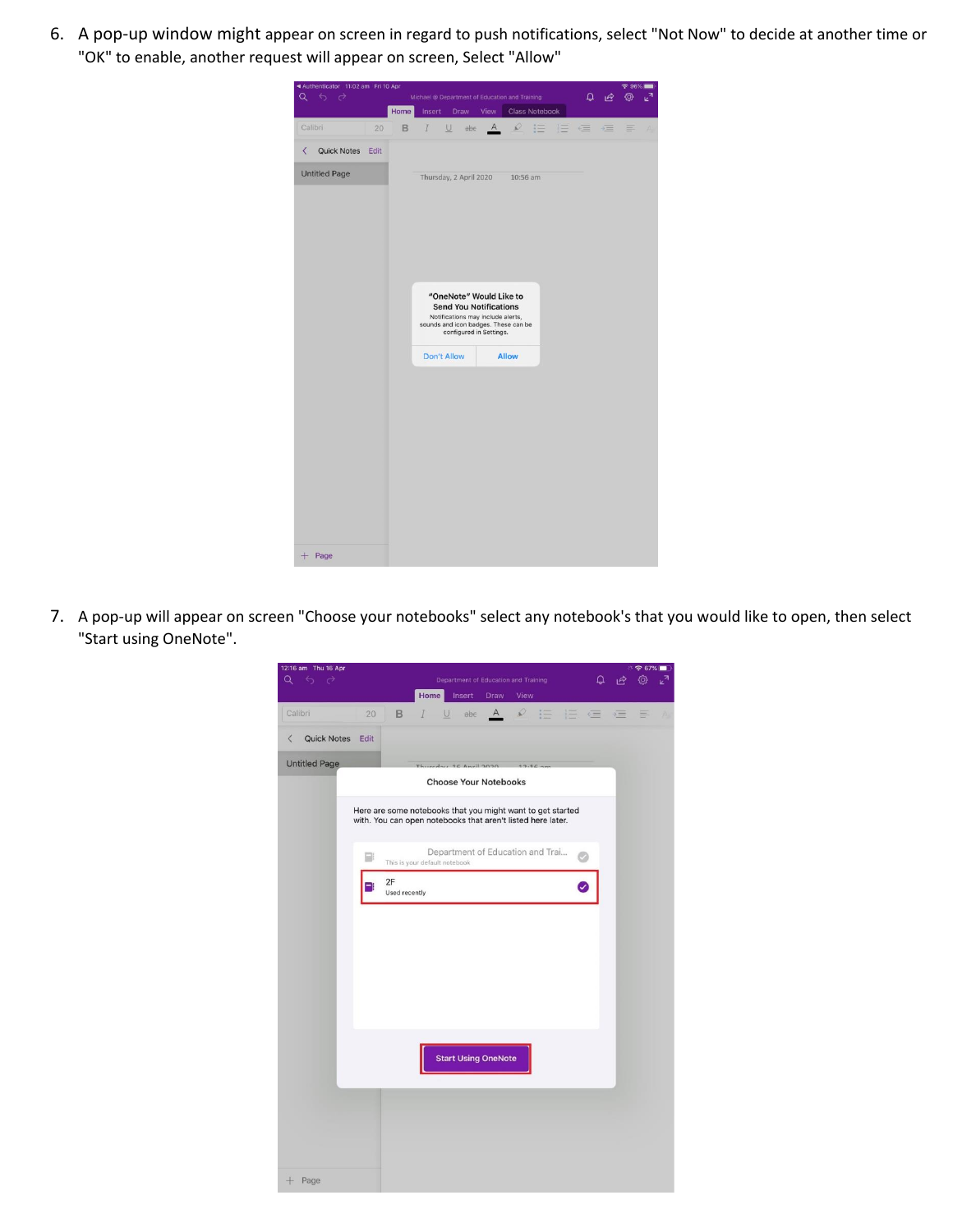6. A pop-up window might appear on screen in regard to push notifications, select "Not Now" to decide at another time or "OK" to enable, another request will appear on screen, Select "Allow"



7. A pop-up will appear on screen "Choose your notebooks" select any notebook's that you would like to open, then select "Start using OneNote".